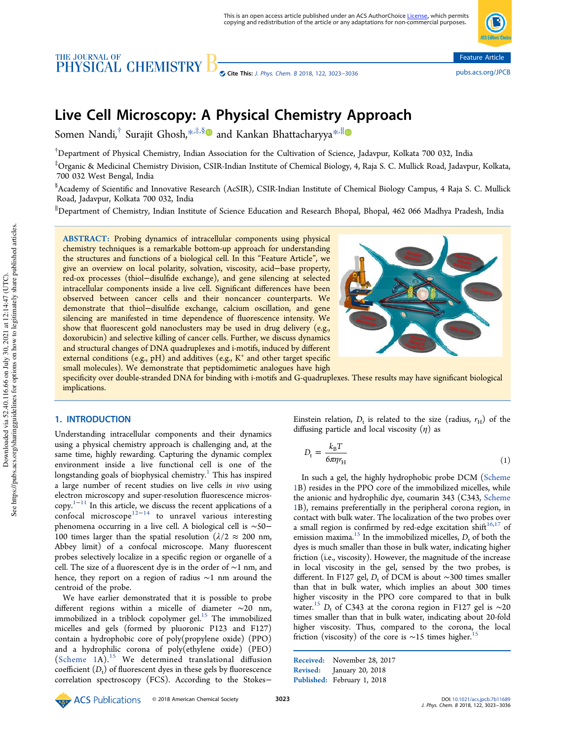# THE JOURNAL OF CHEMISTRY



# Live Cell Microscopy: A Physical Chemistry Approach

Somen Nandi,<sup>†</sup> Surajit Ghosh,\*<sup>,‡,§</sup>® and Kankan Bhattacharyya<sup>\*,∥</sup>

 $^{\dagger}$ Department of Physical Chemistry, Indian Association for the Cultivation of Science, Jadavpur, Kolkata 700 032, India

‡Organic & Medicinal Chemistry Division, CSIR-Indian Institute of Chemical Biology, 4, Raja S. C. Mullick Road, Jadavpur, Kolkata, 700 032 West Bengal, India

§ Academy of Scientific and Innovative Research (AcSIR), CSIR-Indian Institute of Chemical Biology Campus, 4 Raja S. C. Mullick Road, Jadavpur, Kolkata 700 032, India

<sup>∥</sup>Department of Chemistry, Indian Institute of Science Education and Research Bhopal, Bhopal, 462 066 Madhya Pradesh, India

ABSTRACT: Probing dynamics of intracellular components using physical chemistry techniques is a remarkable bottom-up approach for understanding the structures and functions of a biological cell. In this "Feature Article", we give an overview on local polarity, solvation, viscosity, acid−base property, red-ox processes (thiol−disulfide exchange), and gene silencing at selected intracellular components inside a live cell. Significant differences have been observed between cancer cells and their noncancer counterparts. We demonstrate that thiol−disulfide exchange, calcium oscillation, and gene silencing are manifested in time dependence of fluorescence intensity. We show that fluorescent gold nanoclusters may be used in drug delivery (e.g., doxorubicin) and selective killing of cancer cells. Further, we discuss dynamics and structural changes of DNA quadruplexes and i-motifs, induced by different external conditions (e.g., pH) and additives (e.g., K<sup>+</sup> and other target specific small molecules). We demonstrate that peptidomimetic analogues have high



specificity over double-stranded DNA for binding with i-motifs and G-quadruplexes. These results may have significant biological implications.

# 1. INTRODUCTION

Understanding intracellular components and their dynamics using a physical chemistry approach is challenging and, at the same time, highly rewarding. Capturing the dynamic complex environment inside a live functional cell is one of the longstanding goals of biophysical chemistry.<sup>1</sup> This has inspired a large number of recent studies on live cells *in vivo* using electron microscopy and super-resolution fluorescence microscopy. <sup>1</sup>−<sup>11</sup> In this article, we discuss the recent applications of a confocal microscope<sup>12−14</sup> to unravel various interesting phenomena occurring in a live cell. A biological cell is ∼50− 100 times larger than the spatial resolution ( $\lambda/2 \approx 200$  nm, Abbey limit) of a confocal microscope. Many fluorescent probes selectively localize in a specific region or organelle of a cell. The size of a fluorescent dye is in the order of ∼1 nm, and hence, they report on a region of radius ∼1 nm around the centroid of the probe.

We have earlier demonstrated that it is possible to probe different regions within a micelle of diameter ∼20 nm, immobilized in a triblock copolymer gel. $^{15}$  The immobilized micelles and gels (formed by pluoronic P123 and F127) contain a hydrophobic core of poly(propylene oxide) (PPO) and a hydrophilic corona of poly(ethylene oxide) (PEO) (Scheme  $1A$ ).<sup>15</sup> We determined translational diffusion coefficient  $(D_t)$  of fluorescent dyes in these gels by fluorescence correlation spectroscopy (FCS). According to the Stokes−

Einstein relation,  $D_t$  is related to the size (radius,  $r_H$ ) of the diffusing particle and local viscosity  $(\eta)$  as

$$
D_{\rm t} = \frac{k_{\rm B}T}{6\pi\eta r_{\rm H}}\tag{1}
$$

In such a gel, the highly hydrophobic probe DCM (Scheme 1B) resides in the PPO core of the immobilized micelles, while the anionic and hydrophilic dye, coumarin 343 (C343, Scheme 1B), remains preferentially in the peripheral corona region, in contact with bulk water. The localization of the two probes over a small region is confirmed by red-edge excitation shift $16,17$  of emission maxima.<sup>15</sup> In the immobilized micelles, *D*, of both the dyes is much smaller than those in bulk water, indicating higher friction (i.e., viscosity). However, the magnitude of the increase in local viscosity in the gel, sensed by the two probes, is different. In F127 gel, *D*<sub>t</sub> of DCM is about ∼300 times smaller than that in bulk water, which implies an about 300 times higher viscosity in the PPO core compared to that in bulk water.<sup>15</sup> *D*<sub>t</sub> of C343 at the corona region in F127 gel is ~20 times smaller than that in bulk water, indicating about 20-fold higher viscosity. Thus, compared to the corona, the local friction (viscosity) of the core is  $\sim$ 15 times higher.<sup>1</sup>

Received: November 28, 2017 Revised: January 20, 2018 Published: February 1, 2018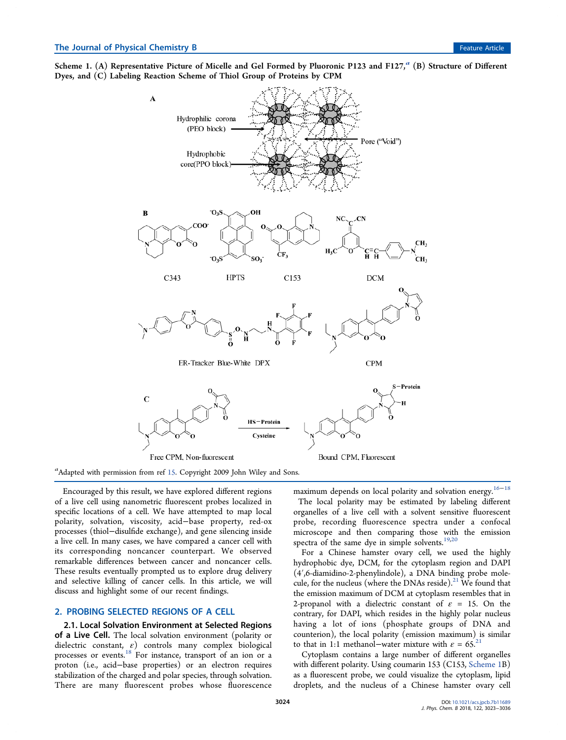Scheme 1.  $(A)$  Representative Picture of Micelle and Gel Formed by Pluoronic P123 and F127, $^a$   $(B)$  Structure of Different Dyes, and (C) Labeling Reaction Scheme of Thiol Group of Proteins by CPM



*a* Adapted with permission from ref 15. Copyright 2009 John Wiley and Sons.

Encouraged by this result, we have explored different regions of a live cell using nanometric fluorescent probes localized in specific locations of a cell. We have attempted to map local polarity, solvation, viscosity, acid−base property, red-ox processes (thiol−disulfide exchange), and gene silencing inside a live cell. In many cases, we have compared a cancer cell with its corresponding noncancer counterpart. We observed remarkable differences between cancer and noncancer cells. These results eventually prompted us to explore drug delivery and selective killing of cancer cells. In this article, we will discuss and highlight some of our recent findings.

## 2. PROBING SELECTED REGIONS OF A CELL

2.1. Local Solvation Environment at Selected Regions of a Live Cell. The local solvation environment (polarity or dielectric constant,  $\varepsilon$ ) controls many complex biological processes or events.<sup>18</sup> For instance, transport of an ion or a proton (i.e., acid−base properties) or an electron requires stabilization of the charged and polar species, through solvation. There are many fluorescent probes whose fluorescence

maximum depends on local polarity and solvation energy.<sup>16−18</sup>

The local polarity may be estimated by labeling different organelles of a live cell with a solvent sensitive fluorescent probe, recording fluorescence spectra under a confocal microscope and then comparing those with the emission spectra of the same dye in simple solvents. $19,20$ 

For a Chinese hamster ovary cell, we used the highly hydrophobic dye, DCM, for the cytoplasm region and DAPI (4′,6-diamidino-2-phenylindole), a DNA binding probe molecule, for the nucleus (where the DNAs reside). $^{21}$  We found that the emission maximum of DCM at cytoplasm resembles that in 2-propanol with a dielectric constant of  $\varepsilon = 15$ . On the contrary, for DAPI, which resides in the highly polar nucleus having a lot of ions (phosphate groups of DNA and counterion), the local polarity (emission maximum) is similar to that in 1:1 methanol–water mixture with  $\varepsilon = 65$ .<sup>21</sup>

Cytoplasm contains a large number of different organelles with different polarity. Using coumarin 153 (C153, Scheme 1B) as a fluorescent probe, we could visualize the cytoplasm, lipid droplets, and the nucleus of a Chinese hamster ovary cell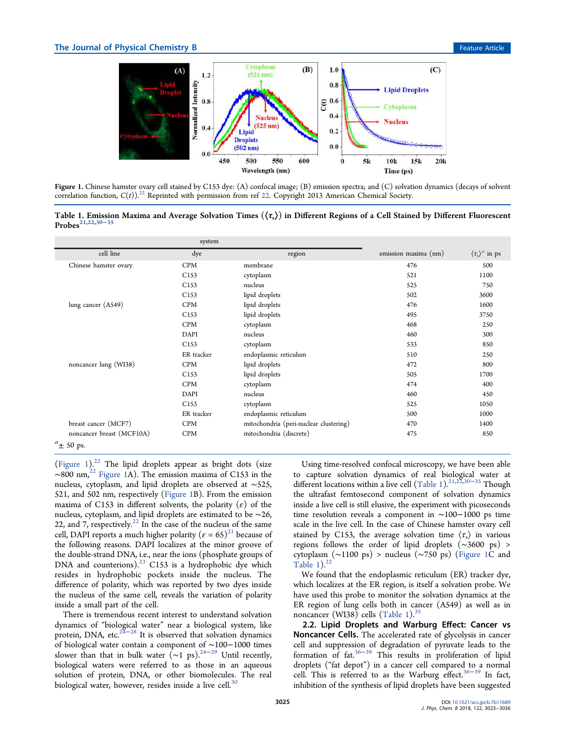

Figure 1. Chinese hamster ovary cell stained by C153 dye: (A) confocal image; (B) emission spectra; and (C) solvation dynamics (decays of solvent correlation function,  $C(t)$ <sup>22</sup> Reprinted with permission from ref 22. Copyright 2013 American Chemical Society.

Table 1. Emission Maxima and Average Solvation Times  $(\langle \tau_{s} \rangle)$  in Different Regions of a Cell Stained by Different Fluorescent Probes21,22,30−<sup>35</sup>

|                           | system           |                                        |                      |                                  |
|---------------------------|------------------|----------------------------------------|----------------------|----------------------------------|
| cell line                 | dye              | region                                 | emission maxima (nm) | $\langle \tau_s \rangle^a$ in ps |
| Chinese hamster ovary     | <b>CPM</b>       | membrane                               | 476                  | 500                              |
|                           | C <sub>153</sub> | cytoplasm                              | 521                  | 1100                             |
|                           | C <sub>153</sub> | nucleus                                | 525                  | 750                              |
|                           | C <sub>153</sub> | lipid droplets                         | 502                  | 3600                             |
| lung cancer (A549)        | <b>CPM</b>       | lipid droplets                         | 476                  | 1600                             |
|                           | C <sub>153</sub> | lipid droplets                         | 495                  | 3750                             |
|                           | <b>CPM</b>       | cytoplasm                              | 468                  | 250                              |
|                           | DAPI             | nucleus                                | 460                  | 300                              |
|                           | C <sub>153</sub> | cytoplasm                              | 533                  | 850                              |
|                           | ER tracker       | endoplasmic reticulum                  | 510                  | 250                              |
| noncancer lung (WI38)     | CPM              | lipid droplets                         | 472                  | 800                              |
|                           | C <sub>153</sub> | lipid droplets                         | 505                  | 1700                             |
|                           | <b>CPM</b>       | cytoplasm                              | 474                  | 400                              |
|                           | DAPI             | nucleus                                | 460                  | 450                              |
|                           | C <sub>153</sub> | cytoplasm                              | 525                  | 1050                             |
|                           | ER tracker       | endoplasmic reticulum                  | 500                  | 1000                             |
| breast cancer (MCF7)      | <b>CPM</b>       | mitochondria (peri-nuclear clustering) | 470                  | 1400                             |
| noncancer breast (MCF10A) | CPM              | mitochondria (discrete)                | 475                  | 850                              |
| $a_{\pm}$ 50 ps.          |                  |                                        |                      |                                  |

(Figure 1). $^{22}$  The lipid droplets appear as bright dots (size ∼800 nm,<sup>22</sup> Figure 1A). The emission maxima of C153 in the nucleus, cytoplasm, and lipid droplets are observed at ∼525, 521, and 502 nm, respectively (Figure 1B). From the emission maxima of C153 in different solvents, the polarity  $(\varepsilon)$  of the nucleus, cytoplasm, and lipid droplets are estimated to be ∼26, 22, and 7, respectively.<sup>22</sup> In the case of the nucleus of the same cell, DAPI reports a much higher polarity  $(\varepsilon = 65)^{21}$  because of the following reasons. DAPI localizes at the minor groove of the double-strand DNA, i.e., near the ions (phosphate groups of DNA and counterions).<sup>23</sup> C153 is a hydrophobic dye which resides in hydrophobic pockets inside the nucleus. The difference of polarity, which was reported by two dyes inside the nucleus of the same cell, reveals the variation of polarity inside a small part of the cell.

There is tremendous recent interest to understand solvation dynamics of "biological water" near a biological system, like protein, DNA, etc.<sup>24-28</sup> It is observed that solvation dynamics of biological water contain a component of ∼100−1000 times slower than that in bulk water ( $\sim$ 1 ps).<sup>24–29</sup> Until recently, biological waters were referred to as those in an aqueous solution of protein, DNA, or other biomolecules. The real biological water, however, resides inside a live cell. $30$ 

Using time-resolved confocal microscopy, we have been able to capture solvation dynamics of real biological water at different locations within a live cell (Table 1).<sup>21,22,30–35</sup> Though the ultrafast femtosecond component of solvation dynamics inside a live cell is still elusive, the experiment with picoseconds time resolution reveals a component in ∼100−1000 ps time scale in the live cell. In the case of Chinese hamster ovary cell stained by C153, the average solvation time  $\langle \tau_s \rangle$  in various regions follows the order of lipid droplets (∼3600 ps) > cytoplasm (∼1100 ps) > nucleus (∼750 ps) (Figure 1C and Table 1).<sup>2</sup>

We found that the endoplasmic reticulum (ER) tracker dye, which localizes at the ER region, is itself a solvation probe. We have used this probe to monitor the solvation dynamics at the ER region of lung cells both in cancer (A549) as well as in noncancer (WI38) cells (Table 1). $35$ 

2.2. Lipid Droplets and Warburg Effect: Cancer vs Noncancer Cells. The accelerated rate of glycolysis in cancer cell and suppression of degradation of pyruvate leads to the formation of fat.36−<sup>39</sup> This results in proliferation of lipid droplets ("fat depot") in a cancer cell compared to a normal cell. This is referred to as the Warburg effect.36−<sup>39</sup> In fact, inhibition of the synthesis of lipid droplets have been suggested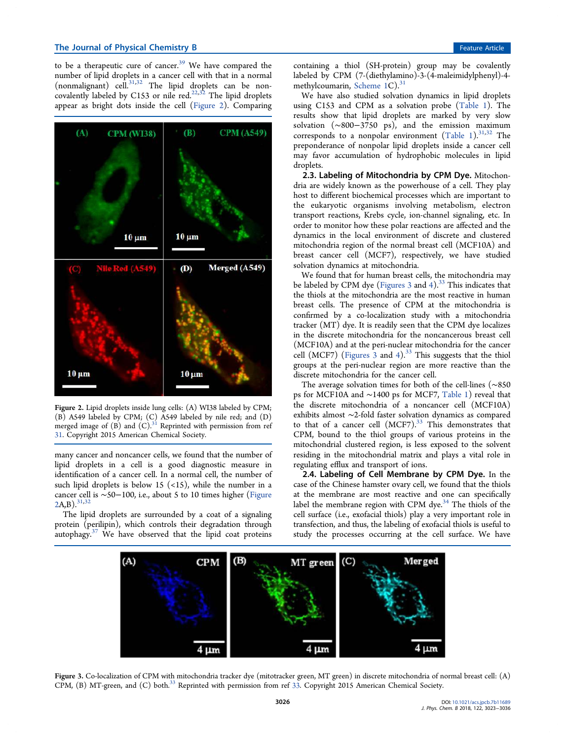to be a therapeutic cure of cancer. $39$  We have compared the number of lipid droplets in a cancer cell with that in a normal (nonmalignant) cell. $31,32$  The lipid droplets can be noncovalently labeled by C153 or nile red.<sup>22,32</sup> The lipid droplets appear as bright dots inside the cell (Figure 2). Comparing



Figure 2. Lipid droplets inside lung cells: (A) WI38 labeled by CPM; (B) A549 labeled by CPM; (C) A549 labeled by nile red; and (D) merged image of  $(B)$  and  $(C)$ .<sup>31</sup> Reprinted with permission from ref 31. Copyright 2015 American Chemical Society.

many cancer and noncancer cells, we found that the number of lipid droplets in a cell is a good diagnostic measure in identification of a cancer cell. In a normal cell, the number of such lipid droplets is below 15  $(\langle 15 \rangle)$ , while the number in a cancer cell is ∼50−100, i.e., about 5 to 10 times higher (Figure  $2A.B$ ).  $31,32$ 

The lipid droplets are surrounded by a coat of a signaling protein (perilipin), which controls their degradation through autophagy. $37$  We have observed that the lipid coat proteins

containing a thiol (SH-protein) group may be covalently labeled by CPM (7-(diethylamino)-3-(4-maleimidylphenyl)-4 methylcoumarin, Scheme 1C).<sup>31</sup>

We have also studied solvation dynamics in lipid droplets using C153 and CPM as a solvation probe (Table 1). The results show that lipid droplets are marked by very slow solvation (∼800−3750 ps), and the emission maximum corresponds to a nonpolar environment (Table 1). $31,32$  The preponderance of nonpolar lipid droplets inside a cancer cell may favor accumulation of hydrophobic molecules in lipid droplets.

2.3. Labeling of Mitochondria by CPM Dye. Mitochondria are widely known as the powerhouse of a cell. They play host to different biochemical processes which are important to the eukaryotic organisms involving metabolism, electron transport reactions, Krebs cycle, ion-channel signaling, etc. In order to monitor how these polar reactions are affected and the dynamics in the local environment of discrete and clustered mitochondria region of the normal breast cell (MCF10A) and breast cancer cell (MCF7), respectively, we have studied solvation dynamics at mitochondria.

We found that for human breast cells, the mitochondria may be labeled by CPM dye (Figures 3 and 4).<sup>33</sup> This indicates that the thiols at the mitochondria are the most reactive in human breast cells. The presence of CPM at the mitochondria is confirmed by a co-localization study with a mitochondria tracker (MT) dye. It is readily seen that the CPM dye localizes in the discrete mitochondria for the noncancerous breast cell (MCF10A) and at the peri-nuclear mitochondria for the cancer cell (MCF7) (Figures  $3$  and 4).<sup>33</sup> This suggests that the thiol groups at the peri-nuclear region are more reactive than the discrete mitochondria for the cancer cell.

The average solvation times for both of the cell-lines (∼850 ps for MCF10A and ∼1400 ps for MCF7, Table 1) reveal that the discrete mitochondria of a noncancer cell (MCF10A) exhibits almost ∼2-fold faster solvation dynamics as compared to that of a cancer cell (MCF7).<sup>33</sup> This demonstrates that CPM, bound to the thiol groups of various proteins in the mitochondrial clustered region, is less exposed to the solvent residing in the mitochondrial matrix and plays a vital role in regulating efflux and transport of ions.

2.4. Labeling of Cell Membrane by CPM Dye. In the case of the Chinese hamster ovary cell, we found that the thiols at the membrane are most reactive and one can specifically label the membrane region with CPM dye. $34$  The thiols of the cell surface (i.e., exofacial thiols) play a very important role in transfection, and thus, the labeling of exofacial thiols is useful to study the processes occurring at the cell surface. We have



Figure 3. Co-localization of CPM with mitochondria tracker dye (mitotracker green, MT green) in discrete mitochondria of normal breast cell: (A) CPM, (B) MT-green, and (C) both.<sup>33</sup> Reprinted with permission from ref 33. Copyright 2015 American Chemical Society.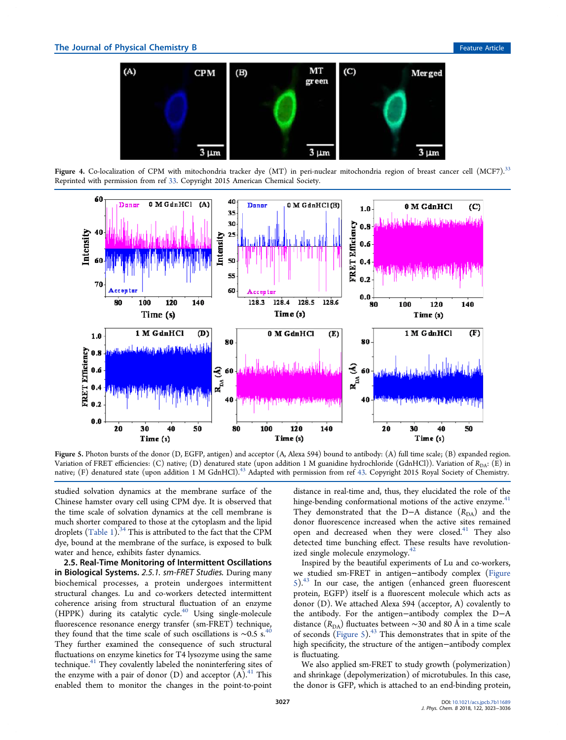

Figure 4. Co-localization of CPM with mitochondria tracker dye (MT) in peri-nuclear mitochondria region of breast cancer cell (MCF7).<sup>33</sup> Reprinted with permission from ref 33. Copyright 2015 American Chemical Society.



Figure 5. Photon bursts of the donor (D, EGFP, antigen) and acceptor (A, Alexa 594) bound to antibody: (A) full time scale; (B) expanded region. Variation of FRET efficiencies: (C) native; (D) denatured state (upon addition 1 M guanidine hydrochloride (GdnHCl)). Variation of  $R_{DA}$ : (E) in native; (F) denatured state (upon addition 1 M GdnHCl).<sup>43</sup> Adapted with permission from ref 43. Copyright 2015 Royal Society of Chemistry.

studied solvation dynamics at the membrane surface of the Chinese hamster ovary cell using CPM dye. It is observed that the time scale of solvation dynamics at the cell membrane is much shorter compared to those at the cytoplasm and the lipid droplets (Table 1).<sup>34</sup> This is attributed to the fact that the CPM dye, bound at the membrane of the surface, is exposed to bulk water and hence, exhibits faster dynamics.

2.5. Real-Time Monitoring of Intermittent Oscillations in Biological Systems. *2.5.1. sm-FRET Studies.* During many biochemical processes, a protein undergoes intermittent structural changes. Lu and co-workers detected intermittent coherence arising from structural fluctuation of an enzyme (HPPK) during its catalytic cycle.<sup>40</sup> Using single-molecule fluorescence resonance energy transfer (sm-FRET) technique, they found that the time scale of such oscillations is  $\sim$ 0.5 s.<sup>40</sup> They further examined the consequence of such structural fluctuations on enzyme kinetics for T4 lysozyme using the same technique.<sup>41</sup> They covalently labeled the noninterfering sites of the enzyme with a pair of donor  $(D)$  and acceptor  $(A)$ .<sup>41</sup> This enabled them to monitor the changes in the point-to-point

distance in real-time and, thus, they elucidated the role of the hinge-bending conformational motions of the active enzyme.<sup>41</sup> They demonstrated that the D−A distance  $(R<sub>DA</sub>)$  and the donor fluorescence increased when the active sites remained open and decreased when they were closed.<sup>41</sup> They also detected time bunching effect. These results have revolutionized single molecule enzymology.<sup>42</sup>

Inspired by the beautiful experiments of Lu and co-workers, we studied sm-FRET in antigen−antibody complex (Figure  $5)^{43}$  In our case, the antigen (enhanced green fluorescent protein, EGFP) itself is a fluorescent molecule which acts as donor (D). We attached Alexa 594 (acceptor, A) covalently to the antibody. For the antigen−antibody complex the D−A distance (*R*<sub>DA</sub>) fluctuates between ∼30 and 80 Å in a time scale of seconds (Figure 5). $43$  This demonstrates that in spite of the high specificity, the structure of the antigen−antibody complex is fluctuating.

We also applied sm-FRET to study growth (polymerization) and shrinkage (depolymerization) of microtubules. In this case, the donor is GFP, which is attached to an end-binding protein,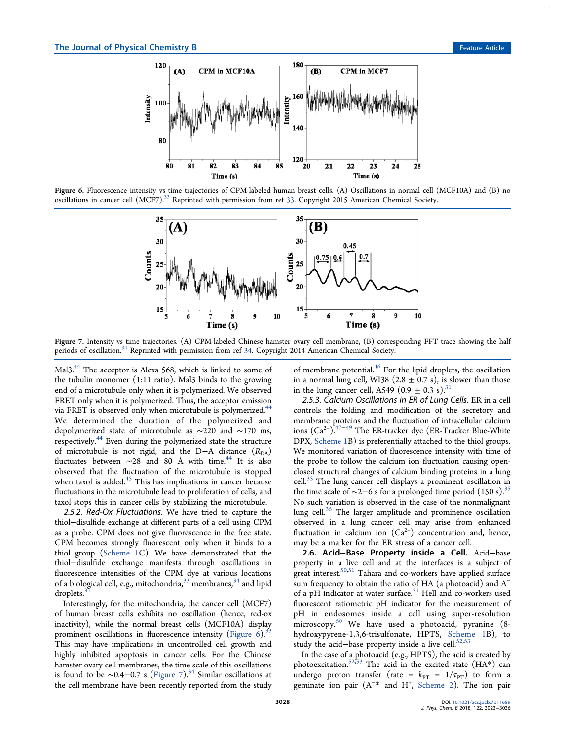

Figure 6. Fluorescence intensity vs time trajectories of CPM-labeled human breast cells. (A) Oscillations in normal cell (MCF10A) and (B) no oscillations in cancer cell (MCF7).<sup>33</sup> Reprinted with permission from ref 33. Copyright 2015 American Chemical Society.



Figure 7. Intensity vs time trajectories. (A) CPM-labeled Chinese hamster ovary cell membrane, (B) corresponding FFT trace showing the half periods of oscillation.<sup>34</sup> Reprinted with permission from ref 34. Copyright 2014 American Chemical Society.

Mal3.<sup>44</sup> The acceptor is Alexa 568, which is linked to some of the tubulin monomer (1:11 ratio). Mal3 binds to the growing end of a microtubule only when it is polymerized. We observed FRET only when it is polymerized. Thus, the acceptor emission via FRET is observed only when microtubule is polymerized.<sup>44</sup> We determined the duration of the polymerized and depolymerized state of microtubule as ∼220 and ∼170 ms, respectively.<sup>44</sup> Even during the polymerized state the structure of microtubule is not rigid, and the D−A distance ( $R<sub>DA</sub>$ ) fluctuates between  $\sim$ 28 and 80 Å with time.<sup>44</sup> It is also observed that the fluctuation of the microtubule is stopped when taxol is added. $45$  This has implications in cancer because fluctuations in the microtubule lead to proliferation of cells, and taxol stops this in cancer cells by stabilizing the microtubule.

*2.5.2. Red-Ox Fluctuations.* We have tried to capture the thiol−disulfide exchange at different parts of a cell using CPM as a probe. CPM does not give fluorescence in the free state. CPM becomes strongly fluorescent only when it binds to a thiol group (Scheme 1C). We have demonstrated that the thiol−disulfide exchange manifests through oscillations in fluorescence intensities of the CPM dye at various locations of a biological cell, e.g., mitochondria, $33$  membranes,  $34$  and lipid droplets.<sup>3</sup>

Interestingly, for the mitochondria, the cancer cell (MCF7) of human breast cells exhibits no oscillation (hence, red-ox inactivity), while the normal breast cells (MCF10A) display prominent oscillations in fluorescence intensity (Figure 6).<sup>33</sup> This may have implications in uncontrolled cell growth and highly inhibited apoptosis in cancer cells. For the Chinese hamster ovary cell membranes, the time scale of this oscillations is found to be  $\sim$ 0.4–0.7 s (Figure 7).<sup>34</sup> Similar oscillations at the cell membrane have been recently reported from the study

of membrane potential.<sup>46</sup> For the lipid droplets, the oscillation in a normal lung cell, WI38 (2.8  $\pm$  0.7 s), is slower than those in the lung cancer cell, A549 (0.9  $\pm$  0.3 s).<sup>31</sup>

*2.5.3. Calcium Oscillations in ER of Lung Cells.* ER in a cell controls the folding and modification of the secretory and membrane proteins and the fluctuation of intracellular calcium ions  $(Ca^{2+})$ .<sup>47−49</sup> The ER-tracker dye (ER-Tracker Blue-White DPX, Scheme 1B) is preferentially attached to the thiol groups. We monitored variation of fluorescence intensity with time of the probe to follow the calcium ion fluctuation causing openclosed structural changes of calcium binding proteins in a lung cell.<sup>35</sup> The lung cancer cell displays a prominent oscillation in the time scale of  $\sim$ 2−6 s for a prolonged time period (150 s).<sup>35</sup> No such variation is observed in the case of the nonmalignant lung cell.<sup>35</sup> The larger amplitude and prominence oscillation observed in a lung cancer cell may arise from enhanced fluctuation in calcium ion  $(Ca^{2+})$  concentration and, hence, may be a marker for the ER stress of a cancer cell.

2.6. Acid−Base Property inside a Cell. Acid−base property in a live cell and at the interfaces is a subject of great interest.<sup>50,51</sup> Tahara and co-workers have applied surface sum frequency to obtain the ratio of HA (a photoacid) and A<sup>−</sup> of a pH indicator at water surface.<sup>51</sup> Hell and co-workers used fluorescent ratiometric pH indicator for the measurement of pH in endosomes inside a cell using super-resolution microscopy. $50$  We have used a photoacid, pyranine (8hydroxypyrene-1,3,6-trisulfonate, HPTS, Scheme 1B), to study the acid-base property inside a live cell. $52,53$ 

In the case of a photoacid (e.g., HPTS), the acid is created by photoexcitation.<sup>52,53</sup> The acid in the excited state (HA\*) can undergo proton transfer (rate =  $k_{PT}$  =  $1/\tau_{PT}$ ) to form a geminate ion pair (A<sup>-\*</sup> and H<sup>+</sup>, Scheme 2). The ion pair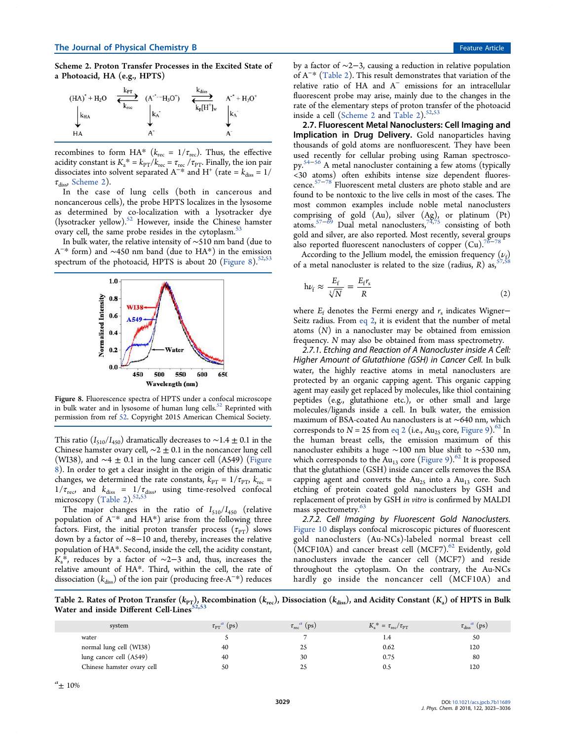Scheme 2. Proton Transfer Processes in the Excited State of a Photoacid, HA (e.g., HPTS)

| $(HA)^* + H_2O$ | kрт<br>kree | $(A^*$ $H_3O^+)$ | Kdiss        | $A^+ + H_3O^+$ |
|-----------------|-------------|------------------|--------------|----------------|
| kHA             |             | kĀ               | $k_p[H^+]_w$ | $k_A$          |
| HA              |             |                  |              |                |

recombines to form HA<sup>\*</sup> ( $k_{\text{rec}} = 1/\tau_{\text{rec}}$ ). Thus, the effective acidity constant is  $K_a^* = k_{PT}/k_{rec} = \tau_{rec}/\tau_{PT}$ . Finally, the ion pair dissociates into solvent separated A<sup>-\*</sup> and H<sup>+</sup> (rate =  $k_{\text{diss}} = 1$ /  $\tau_{\text{diss}}$ , Scheme 2).

In the case of lung cells (both in cancerous and noncancerous cells), the probe HPTS localizes in the lysosome as determined by co-localization with a lysotracker dye (lysotracker yellow).<sup>52</sup> However, inside the Chinese hamster ovary cell, the same probe resides in the cytoplasm.<sup>5</sup>

In bulk water, the relative intensity of ∼510 nm band (due to A − \* form) and ∼450 nm band (due to HA\*) in the emission spectrum of the photoacid, HPTS is about 20 (Figure 8).<sup>52,53</sup>



Figure 8. Fluorescence spectra of HPTS under a confocal microscope in bulk water and in lysosome of human lung cells.<sup>52</sup> Reprinted with permission from ref 52. Copyright 2015 American Chemical Society.

This ratio ( $I_{510}/I_{450}$ ) dramatically decreases to ~1.4 ± 0.1 in the Chinese hamster ovary cell,  $\sim$ 2  $\pm$  0.1 in the noncancer lung cell (WI38), and  $~\sim$ 4  $~\pm~$  0.1 in the lung cancer cell (A549) (Figure 8). In order to get a clear insight in the origin of this dramatic changes, we determined the rate constants,  $k_{\text{PT}} = 1/\tau_{\text{PT}}$ ,  $k_{\text{rec}} =$  $1/\tau_{\text{rec}}$ , and  $k_{\text{diss}} = 1/\tau_{\text{diss}}$ , using time-resolved confocal microscopy  $(Table 2).$ <sup>52,53</sup>

The major changes in the ratio of  $I_{510}/I_{450}$  (relative population of A<sup>−</sup> \* and HA\*) arise from the following three factors. First, the initial proton transfer process  $(\tau_{PT})$  slows down by a factor of ∼8−10 and, thereby, increases the relative population of HA\*. Second, inside the cell, the acidity constant,  $K_a^*$ , reduces by a factor of  $\sim$ 2−3 and, thus, increases the relative amount of HA\*. Third, within the cell, the rate of dissociation ( $k_{\rm diss}$ ) of the ion pair (producing free-A<sup>−\*</sup>) reduces by a factor of ∼2−3, causing a reduction in relative population of A<sup>−</sup> \* (Table 2). This result demonstrates that variation of the relative ratio of HA and A<sup>−</sup> emissions for an intracellular fluorescent probe may arise, mainly due to the changes in the rate of the elementary steps of proton transfer of the photoacid inside a cell (Scheme 2 and Table 2). $52,53$ 

2.7. Fluorescent Metal Nanoclusters: Cell Imaging and Implication in Drug Delivery. Gold nanoparticles having thousands of gold atoms are nonfluorescent. They have been used recently for cellular probing using Raman spectroscopy. <sup>54</sup>−<sup>56</sup> A metal nanocluster containing a few atoms (typically <30 atoms) often exhibits intense size dependent fluorescence. <sup>57</sup>−<sup>78</sup> Fluorescent metal clusters are photo stable and are found to be nontoxic to the live cells in most of the cases. The most common examples include noble metal nanoclusters comprising of gold (Au), silver (Ag), or platinum (Pt) atoms.57−<sup>69</sup> Dual metal nanoclusters,74,75 consisting of both gold and silver, are also reported. Most recently, several groups also reported fluorescent nanoclusters of copper  $(Cu)$ .

According to the Jellium model, the emission frequency  $(\nu_f)$ of a metal nanocluster is related to the size (radius,  $R$ ) as,<sup>5</sup>

$$
h\nu_f \approx \frac{E_f}{\sqrt[3]{N}} = \frac{E_f r_s}{R}
$$
 (2)

where  $E_f$  denotes the Fermi energy and  $r_s$  indicates Wigner− Seitz radius. From eq 2, it is evident that the number of metal atoms (*N*) in a nanocluster may be obtained from emission frequency. *N* may also be obtained from mass spectrometry.

*2.7.1. Etching and Reaction of A Nanocluster inside A Cell: Higher Amount of Glutathione (GSH) in Cancer Cell.* In bulk water, the highly reactive atoms in metal nanoclusters are protected by an organic capping agent. This organic capping agent may easily get replaced by molecules, like thiol containing peptides (e.g., glutathione etc.), or other small and large molecules/ligands inside a cell. In bulk water, the emission maximum of BSA-coated Au nanoclusters is at ∼640 nm, which corresponds to  $N = 25$  from eq 2 (i.e., Au<sub>25</sub> core, Figure 9).<sup>62</sup> In the human breast cells, the emission maximum of this nanocluster exhibits a huge ∼100 nm blue shift to ∼530 nm, which corresponds to the  $Au_{13}$  core (Figure 9).<sup>62</sup> It is proposed that the glutathione (GSH) inside cancer cells removes the BSA capping agent and converts the  $Au_{25}$  into a  $Au_{13}$  core. Such etching of protein coated gold nanoclusters by GSH and replacement of protein by GSH *in vitro* is confirmed by MALDI mass spectrometry.<sup>63</sup>

*2.7.2. Cell Imaging by Fluorescent Gold Nanoclusters.* Figure 10 displays confocal microscopic pictures of fluorescent gold nanoclusters (Au-NCs)-labeled normal breast cell (MCF10A) and cancer breast cell (MCF7). $62$  Evidently, gold nanoclusters invade the cancer cell (MCF7) and reside throughout the cytoplasm. On the contrary, the Au-NCs hardly go inside the noncancer cell (MCF10A) and

Table 2. Rates of Proton Transfer  $(k_{PT})$ , Recombination  $(k_{rec})$ , Dissociation  $(k_{diss})$ , and Acidity Constant  $(K_a)$  of HPTS in Bulk Water and inside Different Cell-Lines<sup>5</sup>

| system                     | $\tau_{\text{PT}}^{\ a}$ (ps) | $\tau_{rec}^{a}$ (ps) | $K_{\rm a}^* = \tau_{\rm rec}/\tau_{\rm PT}$ | $\tau_{\text{diss}}^{\ \ a}$ (ps) |
|----------------------------|-------------------------------|-----------------------|----------------------------------------------|-----------------------------------|
| water                      |                               |                       |                                              | 50                                |
| normal lung cell (WI38)    | 40                            | 25                    | 0.62                                         | 120                               |
| lung cancer cell (A549)    | 40                            | 30                    | 0.75                                         | 80                                |
| Chinese hamster ovary cell | 50                            | 25                    | 0.5                                          | 120                               |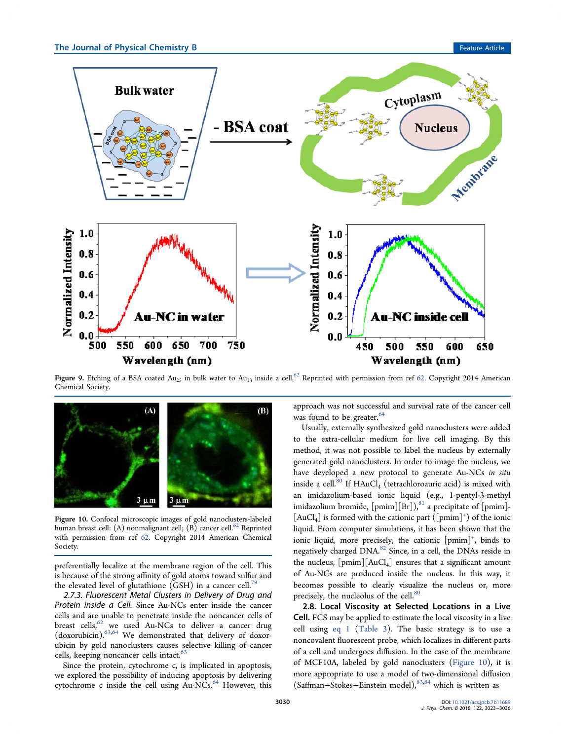

Figure 9. Etching of a BSA coated  $Au_{25}$  in bulk water to  $Au_{13}$  inside a cell.<sup>62</sup> Reprinted with permission from ref 62. Copyright 2014 American Chemical Society.



Figure 10. Confocal microscopic images of gold nanoclusters-labeled human breast cell: (A) nonmalignant cell; (B) cancer cell.<sup>62</sup> Reprinted with permission from ref 62. Copyright 2014 American Chemical Society.

preferentially localize at the membrane region of the cell. This is because of the strong affinity of gold atoms toward sulfur and the elevated level of glutathione (GSH) in a cancer cell.<sup>7</sup>

*2.7.3. Fluorescent Metal Clusters in Delivery of Drug and Protein inside a Cell.* Since Au-NCs enter inside the cancer cells and are unable to penetrate inside the noncancer cells of breast cells,  $62$  we used Au-NCs to deliver a cancer drug (doxorubicin).63,64 We demonstrated that delivery of doxorubicin by gold nanoclusters causes selective killing of cancer cells, keeping noncancer cells intact.<sup>63</sup>

Since the protein, cytochrome c, is implicated in apoptosis, we explored the possibility of inducing apoptosis by delivering cytochrome c inside the cell using Au-NCs.<sup>64</sup> However, this

approach was not successful and survival rate of the cancer cell was found to be greater.<sup>64</sup>

Usually, externally synthesized gold nanoclusters were added to the extra-cellular medium for live cell imaging. By this method, it was not possible to label the nucleus by externally generated gold nanoclusters. In order to image the nucleus, we have developed a new protocol to generate Au-NCs *in situ* inside a cell. $\frac{80}{14}$  If HAuCl<sub>4</sub> (tetrachloroauric acid) is mixed with an imidazolium-based ionic liquid (e.g., 1-pentyl-3-methyl imidazolium bromide,  $[pmim][Br])$ ,<sup>81</sup> a precipitate of  $[pmim]$ - $\left[\mathrm{AuCl}_{4}\right]$  is formed with the cationic part  $\left(\left[\mathrm{pmin}\right]^{+}\right)$  of the ionic liquid. From computer simulations, it has been shown that the ionic liquid, more precisely, the cationic [pmim]<sup>+</sup>, binds to negatively charged DNA.<sup>82</sup> Since, in a cell, the DNAs reside in the nucleus,  $[pmim][AuCl<sub>4</sub>]$  ensures that a significant amount of Au-NCs are produced inside the nucleus. In this way, it becomes possible to clearly visualize the nucleus or, more precisely, the nucleolus of the cell.<sup>80</sup>

2.8. Local Viscosity at Selected Locations in a Live Cell. FCS may be applied to estimate the local viscosity in a live cell using eq 1 (Table 3). The basic strategy is to use a noncovalent fluorescent probe, which localizes in different parts of a cell and undergoes diffusion. In the case of the membrane of MCF10A, labeled by gold nanoclusters (Figure 10), it is more appropriate to use a model of two-dimensional diffusion (Saffman−Stokes−Einstein model),83,84 which is written as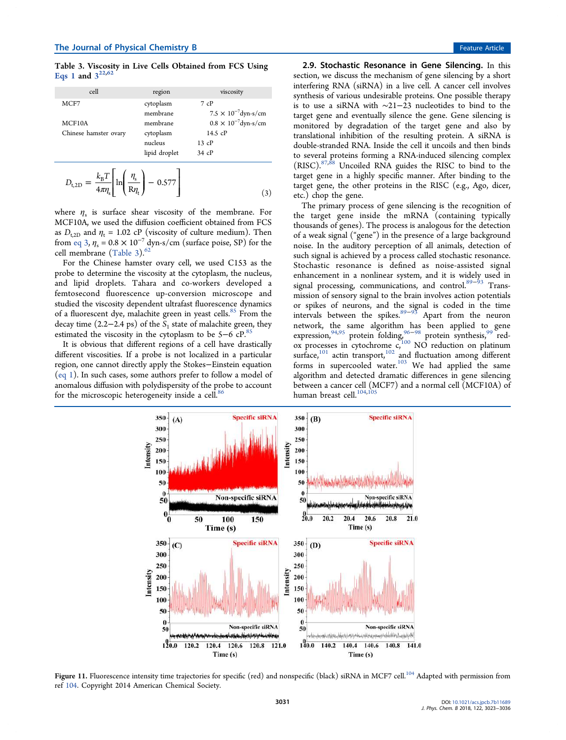Table 3. Viscosity in Live Cells Obtained from FCS Using Eqs 1 and  $3^{22,62}$ 

| cell                            | region                | viscosity                                |
|---------------------------------|-----------------------|------------------------------------------|
| MCF7                            | cytoplasm<br>membrane | 7cP<br>$7.5 \times 10^{-7}$ dyn-s/cm     |
| MCF10A<br>Chinese hamster ovary | membrane<br>cytoplasm | $0.8 \times 10^{-7}$ dyn-s/cm<br>14.5 cP |
|                                 | nucleus               | 13cP                                     |
|                                 | lipid droplet         | $34$ cP                                  |
| $\sim$ $\sim$                   |                       |                                          |

$$
D_{\text{t,2D}} = \frac{k_{\text{B}}T}{4\pi\eta_{\text{s}}} \left[ \ln \left( \frac{\eta_{\text{s}}}{\text{R}\eta_{\text{t}}} \right) - 0.577 \right] \tag{3}
$$

where  $\eta_s$  is surface shear viscosity of the membrane. For MCF10A, we used the diffusion coefficient obtained from FCS as  $D_{t,2D}$  and  $\eta_t = 1.02$  cP (viscosity of culture medium). Then from eq 3,  $\eta_s = 0.8 \times 10^{-7}$  dyn-s/cm (surface poise, SP) for the cell membrane  $(Table 3).<sup>62</sup>$ 

For the Chinese hamster ovary cell, we used C153 as the probe to determine the viscosity at the cytoplasm, the nucleus, and lipid droplets. Tahara and co-workers developed a femtosecond fluorescence up-conversion microscope and studied the viscosity dependent ultrafast fluorescence dynamics of a fluorescent dye, malachite green in yeast cells.<sup>85</sup> From the decay time (2.2–2.4 ps) of the *S*<sub>1</sub> state of malachite green, they estimated the viscosity in the cytoplasm to be 5−6 cP.<sup>85</sup>

It is obvious that different regions of a cell have drastically different viscosities. If a probe is not localized in a particular region, one cannot directly apply the Stokes−Einstein equation (eq 1). In such cases, some authors prefer to follow a model of anomalous diffusion with polydispersity of the probe to account for the microscopic heterogeneity inside a cell.<sup>86</sup>

2.9. Stochastic Resonance in Gene Silencing. In this section, we discuss the mechanism of gene silencing by a short interfering RNA (siRNA) in a live cell. A cancer cell involves synthesis of various undesirable proteins. One possible therapy is to use a siRNA with ∼21−23 nucleotides to bind to the target gene and eventually silence the gene. Gene silencing is monitored by degradation of the target gene and also by translational inhibition of the resulting protein. A siRNA is double-stranded RNA. Inside the cell it uncoils and then binds to several proteins forming a RNA-induced silencing complex  $(RISC)$ .<sup>87,88</sup> Uncoiled RNA guides the RISC to bind to the target gene in a highly specific manner. After binding to the target gene, the other proteins in the RISC (e.g., Ago, dicer, etc.) chop the gene.

The primary process of gene silencing is the recognition of the target gene inside the mRNA (containing typically thousands of genes). The process is analogous for the detection of a weak signal ("gene") in the presence of a large background noise. In the auditory perception of all animals, detection of such signal is achieved by a process called stochastic resonance. Stochastic resonance is defined as noise-assisted signal enhancement in a nonlinear system, and it is widely used in signal processing, communications, and control.<sup>89–93</sup> Transsignal processing, communications, and control.<sup>89-9</sup> mission of sensory signal to the brain involves action potentials or spikes of neurons, and the signal is coded in the time intervals between the spikes. $89-93$  Apart from the neuron network, the same algorithm has been applied to gene expression,<sup>94,95</sup> protein folding,<sup>96–98</sup> protein synthesis,<sup>99</sup> red- $\alpha$  processes in cytochrome  $c<sub>i</sub>^{100}$  NO reduction on platinum surface,<sup>101</sup> actin transport,<sup>102</sup> and fluctuation among different forms in supercooled water.<sup>103</sup> We had applied the same algorithm and detected dramatic differences in gene silencing between a cancer cell (MCF7) and a normal cell (MCF10A) of human breast cell.<sup>104,105</sup>



Figure 11. Fluorescence intensity time trajectories for specific (red) and nonspecific (black) siRNA in MCF7 cell.<sup>104</sup> Adapted with permission from ref 104. Copyright 2014 American Chemical Society.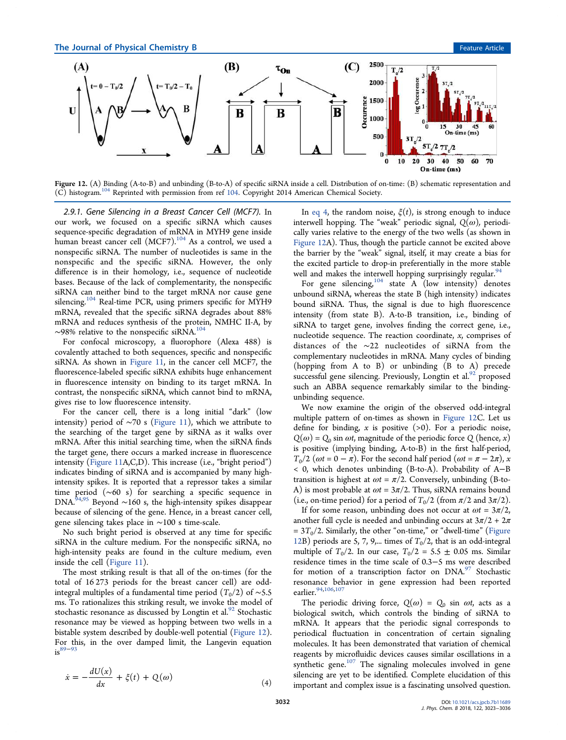

Figure 12. (A) Binding (A-to-B) and unbinding (B-to-A) of specific siRNA inside a cell. Distribution of on-time: (B) schematic representation and (C) histogram.<sup>104</sup> Reprinted with permission from ref 104. Copyright 2014 American Chemical Society.

*2.9.1. Gene Silencing in a Breast Cancer Cell (MCF7).* In our work, we focused on a specific siRNA which causes sequence-specific degradation of mRNA in MYH9 gene inside human breast cancer cell (MCF7).<sup>104</sup> As a control, we used a nonspecific siRNA. The number of nucleotides is same in the nonspecific and the specific siRNA. However, the only difference is in their homology, i.e., sequence of nucleotide bases. Because of the lack of complementarity, the nonspecific siRNA can neither bind to the target mRNA nor cause gene silencing.<sup>104</sup> Real-time PCR, using primers specific for MYH9 mRNA, revealed that the specific siRNA degrades about 88% mRNA and reduces synthesis of the protein, NMHC II-A, by  $\sim$ 98% relative to the nonspecific siRNA.<sup>104</sup>

For confocal microscopy, a fluorophore (Alexa 488) is covalently attached to both sequences, specific and nonspecific siRNA. As shown in Figure 11, in the cancer cell MCF7, the fluorescence-labeled specific siRNA exhibits huge enhancement in fluorescence intensity on binding to its target mRNA. In contrast, the nonspecific siRNA, which cannot bind to mRNA, gives rise to low fluorescence intensity.

For the cancer cell, there is a long initial "dark" (low intensity) period of  $~\sim$ 70 s (Figure 11), which we attribute to the searching of the target gene by siRNA as it walks over mRNA. After this initial searching time, when the siRNA finds the target gene, there occurs a marked increase in fluorescence intensity (Figure 11A,C,D). This increase (i.e., "bright period") indicates binding of siRNA and is accompanied by many highintensity spikes. It is reported that a repressor takes a similar time period (∼60 s) for searching a specific sequence in DNA.<sup>94,95</sup> Beyond ~160 s, the high-intensity spikes disappear because of silencing of the gene. Hence, in a breast cancer cell, gene silencing takes place in ∼100 s time-scale.

No such bright period is observed at any time for specific siRNA in the culture medium. For the nonspecific siRNA, no high-intensity peaks are found in the culture medium, even inside the cell (Figure 11).

The most striking result is that all of the on-times (for the total of 16 273 periods for the breast cancer cell) are oddintegral multiples of a fundamental time period  $(T_0/2)$  of ~5.5 ms. To rationalizes this striking result, we invoke the model of stochastic resonance as discussed by Longtin et al. $92$  Stochastic resonance may be viewed as hopping between two wells in a bistable system described by double-well potential (Figure 12). For this, in the over damped limit, the Langevin equation  $is^{89-93}$ 

$$
\dot{x} = -\frac{dU(x)}{dx} + \xi(t) + Q(\omega)
$$
\n(4)

In eq 4, the random noise,  $\xi(t)$ , is strong enough to induce interwell hopping. The "weak" periodic signal,  $Q(\omega)$ , periodically varies relative to the energy of the two wells (as shown in Figure 12A). Thus, though the particle cannot be excited above the barrier by the "weak" signal, itself, it may create a bias for the excited particle to drop-in preferentially in the more stable well and makes the interwell hopping surprisingly regular.<sup>94</sup>

For gene silencing,  $11\frac{11}{11}$  or  $1\frac{11}{11}$  or  $1\frac{11}{11}$  or  $1\frac{11}{11}$  or  $1\frac{11}{11}$  or  $1\frac{11}{11}$  or  $1\frac{11}{11}$  or  $1\frac{11}{11}$  or  $1\frac{11}{11}$  or  $1\frac{11}{11}$  or  $1\frac{11}{11}$  or  $1\frac{11}{11}$  denotes unbound siRNA, whereas the state B (high intensity) indicates bound siRNA. Thus, the signal is due to high fluorescence intensity (from state B). A-to-B transition, i.e., binding of siRNA to target gene, involves finding the correct gene, i.e., nucleotide sequence. The reaction coordinate, *x*, comprises of distances of the ∼22 nucleotides of siRNA from the complementary nucleotides in mRNA. Many cycles of binding (hopping from A to B) or unbinding (B to A) precede successful gene silencing. Previously, Longtin et al.<sup>92</sup> proposed such an ABBA sequence remarkably similar to the bindingunbinding sequence.

We now examine the origin of the observed odd-integral multiple pattern of on-times as shown in Figure 12C. Let us define for binding,  $x$  is positive  $(>0)$ . For a periodic noise,  $Q(\omega) = Q_0 \sin \omega t$ , magnitude of the periodic force  $Q(\text{hence}, x)$ is positive (implying binding, A-to-B) in the first half-period,  $T_0/2$  ( $\omega t = 0 - \pi$ ). For the second half period ( $\omega t = \pi - 2\pi$ ),  $\alpha$ < 0, which denotes unbinding (B-to-A). Probability of A−B transition is highest at  $\omega t = \pi/2$ . Conversely, unbinding (B-to-A) is most probable at  $\omega t = 3\pi/2$ . Thus, siRNA remains bound (i.e., on-time period) for a period of  $T_0/2$  (from  $\pi/2$  and  $3\pi/2$ ).

If for some reason, unbinding does not occur at  $\omega t = 3\pi/2$ , another full cycle is needed and unbinding occurs at  $3\pi/2 + 2\pi$  $= 3T<sub>0</sub>/2$ . Similarly, the other "on-time," or "dwell-time" (Figure 12B) periods are 5, 7, 9,... times of  $T_0/2$ , that is an odd-integral multiple of  $T_0/2$ . In our case,  $T_0/2 = 5.5 \pm 0.05$  ms. Similar residence times in the time scale of 0.3−5 ms were described for motion of a transcription factor on  $DNA<sup>97</sup>$  Stochastic resonance behavior in gene expression had been reported earlier.<sup>94,106,107</sup>

The periodic driving force,  $Q(\omega) = Q_0 \sin \omega t$ , acts as a biological switch, which controls the binding of siRNA to mRNA. It appears that the periodic signal corresponds to periodical fluctuation in concentration of certain signaling molecules. It has been demonstrated that variation of chemical reagents by microfluidic devices causes similar oscillations in a synthetic gene. $107$  The signaling molecules involved in gene silencing are yet to be identified. Complete elucidation of this important and complex issue is a fascinating unsolved question.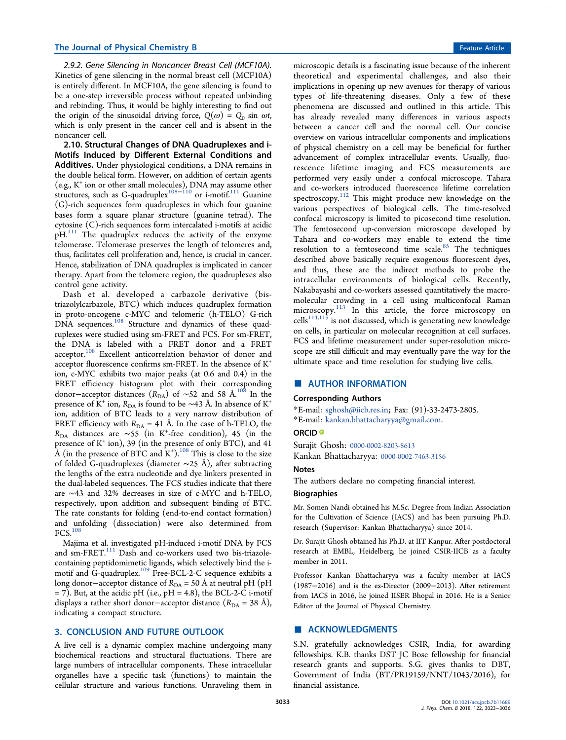*2.9.2. Gene Silencing in Noncancer Breast Cell (MCF10A).* Kinetics of gene silencing in the normal breast cell (MCF10A) is entirely different. In MCF10A, the gene silencing is found to be a one-step irreversible process without repeated unbinding and rebinding. Thus, it would be highly interesting to find out the origin of the sinusoidal driving force,  $Q(\omega) = Q_0 \sin \omega t$ , which is only present in the cancer cell and is absent in the noncancer cell.

2.10. Structural Changes of DNA Quadruplexes and i-Motifs Induced by Different External Conditions and Additives. Under physiological conditions, a DNA remains in the double helical form. However, on addition of certain agents (e.g., K<sup>+</sup> ion or other small molecules), DNA may assume other structures, such as G-quadruplex<sup>108−110</sup> or i-motif.<sup>111</sup> Guanine (G)-rich sequences form quadruplexes in which four guanine bases form a square planar structure (guanine tetrad). The cytosine (C)-rich sequences form intercalated i-motifs at acidic  $pH<sup>111</sup>$  The quadruplex reduces the activity of the enzyme telomerase. Telomerase preserves the length of telomeres and, thus, facilitates cell proliferation and, hence, is crucial in cancer. Hence, stabilization of DNA quadruplex is implicated in cancer therapy. Apart from the telomere region, the quadruplexes also control gene activity.

Dash et al. developed a carbazole derivative (bistriazolylcarbazole, BTC) which induces quadruplex formation in proto-oncogene c-MYC and telomeric (h-TELO) G-rich DNA sequences.<sup>108</sup> Structure and dynamics of these quadruplexes were studied using sm-FRET and FCS. For sm-FRET, the DNA is labeled with a FRET donor and a FRET acceptor.<sup>108</sup> Excellent anticorrelation behavior of donor and acceptor fluorescence confirms sm-FRET. In the absence of K<sup>+</sup> ion, c-MYC exhibits two major peaks (at 0.6 and 0.4) in the FRET efficiency histogram plot with their corresponding donor-acceptor distances (R<sub>DA</sub>) of ~52 and 58 Å.<sup>108</sup> In the presence of K<sup>+</sup> ion, R<sub>DA</sub> is found to be ∼43 Å. In absence of K<sup>+</sup> ion, addition of BTC leads to a very narrow distribution of FRET efficiency with  $R_{DA} = 41$  Å. In the case of h-TELO, the *R*<sub>DA</sub> distances are ∼55 (in K<sup>+</sup>-free condition), 45 (in the presence of K<sup>+</sup> ion), 39 (in the presence of only BTC), and 41  $\hat{A}$  (in the presence of BTC and  $K^+$ ).<sup>108</sup> This is close to the size of folded G-quadruplexes (diameter ∼25 Å), after subtracting the lengths of the extra nucleotide and dye linkers presented in the dual-labeled sequences. The FCS studies indicate that there are ∼43 and 32% decreases in size of c-MYC and h-TELO, respectively, upon addition and subsequent binding of BTC. The rate constants for folding (end-to-end contact formation) and unfolding (dissociation) were also determined from FCS.<sup>108</sup>

Majima et al. investigated pH-induced i-motif DNA by FCS and sm-FRET.<sup>111</sup> Dash and co-workers used two bis-triazolecontaining peptidomimetic ligands, which selectively bind the imotif and G-quadruplex.<sup>109</sup> Free-BCL-2-C sequence exhibits a long donor–acceptor distance of *R*<sub>DA</sub> = 50 Å at neutral pH (pH  $= 7$ ). But, at the acidic pH (i.e., pH  $= 4.8$ ), the BCL-2-C i-motif displays a rather short donor–acceptor distance ( $R_{DA}$  = 38 Å), indicating a compact structure.

#### 3. CONCLUSION AND FUTURE OUTLOOK

A live cell is a dynamic complex machine undergoing many biochemical reactions and structural fluctuations. There are large numbers of intracellular components. These intracellular organelles have a specific task (functions) to maintain the cellular structure and various functions. Unraveling them in

microscopic details is a fascinating issue because of the inherent theoretical and experimental challenges, and also their implications in opening up new avenues for therapy of various types of life-threatening diseases. Only a few of these phenomena are discussed and outlined in this article. This has already revealed many differences in various aspects between a cancer cell and the normal cell. Our concise overview on various intracellular components and implications of physical chemistry on a cell may be beneficial for further advancement of complex intracellular events. Usually, fluorescence lifetime imaging and FCS measurements are performed very easily under a confocal microscope. Tahara and co-workers introduced fluorescence lifetime correlation spectroscopy.<sup>112</sup> This might produce new knowledge on the various perspectives of biological cells. The time-resolved confocal microscopy is limited to picosecond time resolution. The femtosecond up-conversion microscope developed by Tahara and co-workers may enable to extend the time resolution to a femtosecond time scale.<sup>85</sup> The techniques described above basically require exogenous fluorescent dyes, and thus, these are the indirect methods to probe the intracellular environments of biological cells. Recently, Nakabayashi and co-workers assessed quantitatively the macromolecular crowding in a cell using multiconfocal Raman microscopy.<sup>113</sup> In this article, the force microscopy on cells<sup>114,115</sup> is not discussed, which is generating new knowledge on cells, in particular on molecular recognition at cell surfaces. FCS and lifetime measurement under super-resolution microscope are still difficult and may eventually pave the way for the ultimate space and time resolution for studying live cells.

#### ■ AUTHOR INFORMATION

#### Corresponding Authors

\*E-mail: sghosh@iicb.res.in; Fax: (91)-33-2473-2805. \*E-mail: kankan.bhattacharyya@gmail.com.

#### ORCID<sup>®</sup>

Surajit Ghosh: 0000-0002-8203-8613

Kankan Bhattacharyya: 0000-0002-7463-3156

# **Notes**

The authors declare no competing financial interest.

#### Biographies

Mr. Somen Nandi obtained his M.Sc. Degree from Indian Association for the Cultivation of Science (IACS) and has been pursuing Ph.D. research (Supervisor: Kankan Bhattacharyya) since 2014.

Dr. Surajit Ghosh obtained his Ph.D. at IIT Kanpur. After postdoctoral research at EMBL, Heidelberg, he joined CSIR-IICB as a faculty member in 2011.

Professor Kankan Bhattacharyya was a faculty member at IACS (1987−2016) and is the ex-Director (2009−2013). After retirement from IACS in 2016, he joined IISER Bhopal in 2016. He is a Senior Editor of the Journal of Physical Chemistry.

# ■ ACKNOWLEDGMENTS

S.N. gratefully acknowledges CSIR, India, for awarding fellowships. K.B. thanks DST JC Bose fellowship for financial research grants and supports. S.G. gives thanks to DBT, Government of India (BT/PR19159/NNT/1043/2016), for financial assistance.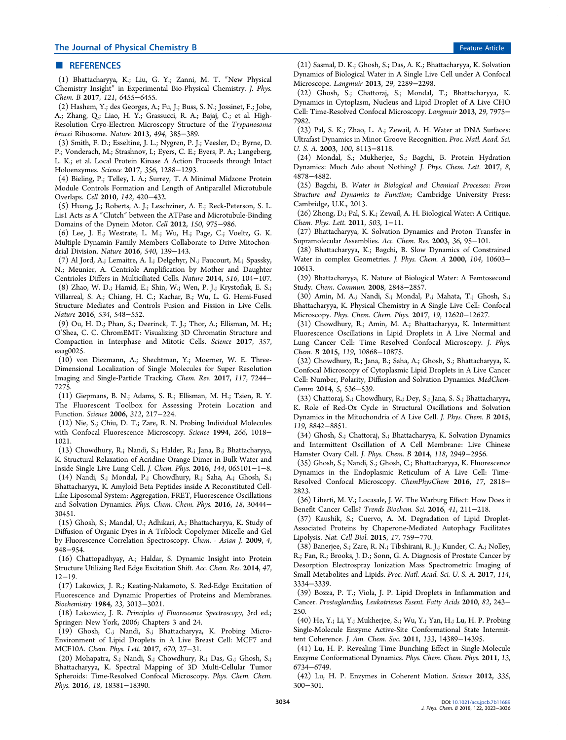### ■ REFERENCES

(1) Bhattacharyya, K.; Liu, G. Y.; Zanni, M. T. ″New Physical Chemistry Insight″ in Experimental Bio-Physical Chemistry. *J. Phys. Chem. B* 2017, *121*, 6455−6455.

(2) Hashem, Y.; des Georges, A.; Fu, J.; Buss, S. N.; Jossinet, F.; Jobe, A.; Zhang, Q.; Liao, H. Y.; Grassucci, R. A.; Bajaj, C.; et al. High-Resolution Cryo-Electron Microscopy Structure of the *Trypanosoma brucei* Ribosome. *Nature* 2013, *494*, 385−389.

(3) Smith, F. D.; Esseltine, J. L.; Nygren, P. J.; Veesler, D.; Byrne, D. P.; Vonderach, M.; Strashnov, I.; Eyers, C. E.; Eyers, P. A.; Langeberg, L. K.; et al. Local Protein Kinase A Action Proceeds through Intact Holoenzymes. *Science* 2017, *356*, 1288−1293.

(4) Bieling, P.; Telley, I. A.; Surrey, T. A Minimal Midzone Protein Module Controls Formation and Length of Antiparallel Microtubule Overlaps. *Cell* 2010, *142*, 420−432.

(5) Huang, J.; Roberts, A. J.; Leschziner, A. E.; Reck-Peterson, S. L. Lis1 Acts as A ″Clutch″ between the ATPase and Microtubule-Binding Domains of the Dynein Motor. *Cell* 2012, *150*, 975−986.

(6) Lee, J. E.; Westrate, L. M.; Wu, H.; Page, C.; Voeltz, G. K. Multiple Dynamin Family Members Collaborate to Drive Mitochondrial Division. *Nature* 2016, *540*, 139−143.

(7) Al Jord, A.; Lemaitre, A. I.; Delgehyr, N.; Faucourt, M.; Spassky, N.; Meunier, A. Centriole Amplification by Mother and Daughter Centrioles Differs in Multiciliated Cells. *Nature* 2014, *516*, 104−107.

(8) Zhao, W. D.; Hamid, E.; Shin, W.; Wen, P. J.; Krystofiak, E. S.; Villarreal, S. A.; Chiang, H. C.; Kachar, B.; Wu, L. G. Hemi-Fused Structure Mediates and Controls Fusion and Fission in Live Cells. *Nature* 2016, *534*, 548−552.

(9) Ou, H. D.; Phan, S.; Deerinck, T. J.; Thor, A.; Ellisman, M. H.; O'Shea, C. C. ChromEMT: Visualizing 3D Chromatin Structure and Compaction in Interphase and Mitotic Cells. *Science* 2017, *357*, eaa $\sigma$ 0025.

(10) von Diezmann, A.; Shechtman, Y.; Moerner, W. E. Three-Dimensional Localization of Single Molecules for Super Resolution Imaging and Single-Particle Tracking. *Chem. Rev.* 2017, *117*, 7244− 7275.

(11) Giepmans, B. N.; Adams, S. R.; Ellisman, M. H.; Tsien, R. Y. The Fluorescent Toolbox for Assessing Protein Location and Function. *Science* 2006, *312*, 217−224.

(12) Nie, S.; Chiu, D. T.; Zare, R. N. Probing Individual Molecules with Confocal Fluorescence Microscopy. *Science* 1994, *266*, 1018− 1021.

(13) Chowdhury, R.; Nandi, S.; Halder, R.; Jana, B.; Bhattacharyya, K. Structural Relaxation of Acridine Orange Dimer in Bulk Water and Inside Single Live Lung Cell. *J. Chem. Phys.* 2016, *144*, 065101−1−8.

(14) Nandi, S.; Mondal, P.; Chowdhury, R.; Saha, A.; Ghosh, S.; Bhattacharyya, K. Amyloid Beta Peptides inside A Reconstituted Cell-Like Liposomal System: Aggregation, FRET, Fluorescence Oscillations and Solvation Dynamics. *Phys. Chem. Chem. Phys.* 2016, *18*, 30444− 30451.

(15) Ghosh, S.; Mandal, U.; Adhikari, A.; Bhattacharyya, K. Study of Diffusion of Organic Dyes in A Triblock Copolymer Micelle and Gel by Fluorescence Correlation Spectroscopy. *Chem. - Asian J.* 2009, *4*, 948−954.

(16) Chattopadhyay, A.; Haldar, S. Dynamic Insight into Protein Structure Utilizing Red Edge Excitation Shift. *Acc. Chem. Res.* 2014, *47*, 12−19.

(17) Lakowicz, J. R.; Keating-Nakamoto, S. Red-Edge Excitation of Fluorescence and Dynamic Properties of Proteins and Membranes. *Biochemistry* 1984, *23*, 3013−3021.

(18) Lakowicz, J. R. *Principles of Fluorescence Spectroscopy*, 3rd ed.; Springer: New York, 2006; Chapters 3 and 24.

(19) Ghosh, C.; Nandi, S.; Bhattacharyya, K. Probing Micro-Environment of Lipid Droplets in A Live Breast Cell: MCF7 and MCF10A. *Chem. Phys. Lett.* 2017, *670*, 27−31.

(20) Mohapatra, S.; Nandi, S.; Chowdhury, R.; Das, G.; Ghosh, S.; Bhattacharyya, K. Spectral Mapping of 3D Multi-Cellular Tumor Spheroids: Time-Resolved Confocal Microscopy. *Phys. Chem. Chem. Phys.* 2016, *18*, 18381−18390.

(21) Sasmal, D. K.; Ghosh, S.; Das, A. K.; Bhattacharyya, K. Solvation Dynamics of Biological Water in A Single Live Cell under A Confocal Microscope. *Langmuir* 2013, *29*, 2289−2298.

(22) Ghosh, S.; Chattoraj, S.; Mondal, T.; Bhattacharyya, K. Dynamics in Cytoplasm, Nucleus and Lipid Droplet of A Live CHO Cell: Time-Resolved Confocal Microscopy. *Langmuir* 2013, *29*, 7975− 7982.

(23) Pal, S. K.; Zhao, L. A.; Zewail, A. H. Water at DNA Surfaces: Ultrafast Dynamics in Minor Groove Recognition. *Proc. Natl. Acad. Sci. U. S. A.* 2003, *100*, 8113−8118.

(24) Mondal, S.; Mukherjee, S.; Bagchi, B. Protein Hydration Dynamics: Much Ado about Nothing? *J. Phys. Chem. Lett.* 2017, *8*, 4878−4882.

(25) Bagchi, B. *Water in Biological and Chemical Processes: From Structure and Dynamics to Function*; Cambridge University Press: Cambridge, U.K., 2013.

(26) Zhong, D.; Pal, S. K.; Zewail, A. H. Biological Water: A Critique. *Chem. Phys. Lett.* 2011, *503*, 1−11.

(27) Bhattacharyya, K. Solvation Dynamics and Proton Transfer in Supramolecular Assemblies. *Acc. Chem. Res.* 2003, *36*, 95−101.

(28) Bhattacharyya, K.; Bagchi, B. Slow Dynamics of Constrained Water in complex Geometries. *J. Phys. Chem. A* 2000, *104*, 10603− 10613.

(29) Bhattacharyya, K. Nature of Biological Water: A Femtosecond Study. *Chem. Commun.* 2008, 2848−2857.

(30) Amin, M. A.; Nandi, S.; Mondal, P.; Mahata, T.; Ghosh, S.; Bhattacharyya, K. Physical Chemistry in A Single Live Cell: Confocal Microscopy. *Phys. Chem. Chem. Phys.* 2017, *19*, 12620−12627.

(31) Chowdhury, R.; Amin, M. A.; Bhattacharyya, K. Intermittent Fluorescence Oscillations in Lipid Droplets in A Live Normal and Lung Cancer Cell: Time Resolved Confocal Microscopy. *J. Phys. Chem. B* 2015, *119*, 10868−10875.

(32) Chowdhury, R.; Jana, B.; Saha, A.; Ghosh, S.; Bhattacharyya, K. Confocal Microscopy of Cytoplasmic Lipid Droplets in A Live Cancer Cell: Number, Polarity, Diffusion and Solvation Dynamics. *MedChem-Comm* 2014, *5*, 536−539.

(33) Chattoraj, S.; Chowdhury, R.; Dey, S.; Jana, S. S.; Bhattacharyya, K. Role of Red-Ox Cycle in Structural Oscillations and Solvation Dynamics in the Mitochondria of A Live Cell. *J. Phys. Chem. B* 2015, *119*, 8842−8851.

(34) Ghosh, S.; Chattoraj, S.; Bhattacharyya, K. Solvation Dynamics and Intermittent Oscillation of A Cell Membrane: Live Chinese Hamster Ovary Cell. *J. Phys. Chem. B* 2014, *118*, 2949−2956.

(35) Ghosh, S.; Nandi, S.; Ghosh, C.; Bhattacharyya, K. Fluorescence Dynamics in the Endoplasmic Reticulum of A Live Cell: Time-Resolved Confocal Microscopy. *ChemPhysChem* 2016, *17*, 2818− 2823.

(36) Liberti, M. V.; Locasale, J. W. The Warburg Effect: How Does it Benefit Cancer Cells? *Trends Biochem. Sci.* 2016, *41*, 211−218.

(37) Kaushik, S.; Cuervo, A. M. Degradation of Lipid Droplet-Associated Proteins by Chaperone-Mediated Autophagy Facilitates Lipolysis. *Nat. Cell Biol.* 2015, *17*, 759−770.

(38) Banerjee, S.; Zare, R. N.; Tibshirani, R. J.; Kunder, C. A.; Nolley, R.; Fan, R.; Brooks, J. D.; Sonn, G. A. Diagnosis of Prostate Cancer by Desorption Electrospray Ionization Mass Spectrometric Imaging of Small Metabolites and Lipids. *Proc. Natl. Acad. Sci. U. S. A.* 2017, *114*, 3334−3339.

(39) Bozza, P. T.; Viola, J. P. Lipid Droplets in Inflammation and Cancer. *Prostaglandins, Leukotrienes Essent. Fatty Acids* 2010, *82*, 243− 250.

(40) He, Y.; Li, Y.; Mukherjee, S.; Wu, Y.; Yan, H.; Lu, H. P. Probing Single-Molecule Enzyme Active-Site Conformational State Intermittent Coherence. *J. Am. Chem. Soc.* 2011, *133*, 14389−14395.

(41) Lu, H. P. Revealing Time Bunching Effect in Single-Molecule Enzyme Conformational Dynamics. *Phys. Chem. Chem. Phys.* 2011, *13*, 6734−6749.

(42) Lu, H. P. Enzymes in Coherent Motion. *Science* 2012, *335*, 300−301.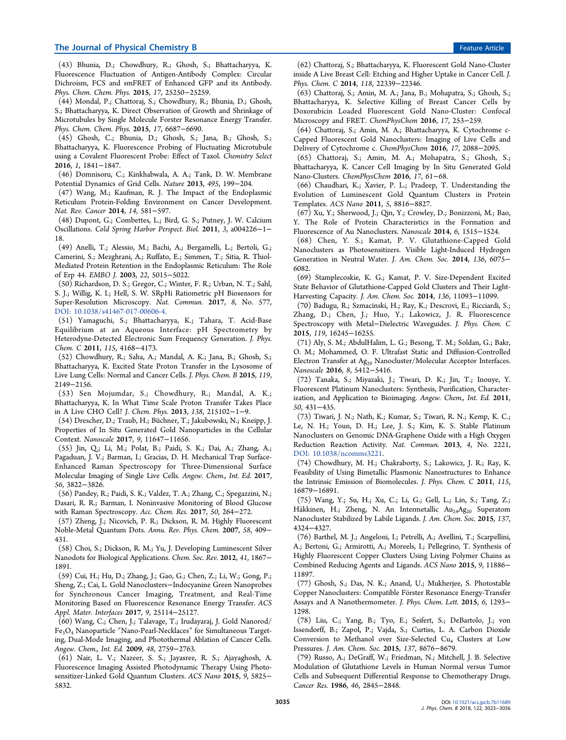# The Journal of Physical Chemistry B Feature Article **Feature Article Feature Article**

(43) Bhunia, D.; Chowdhury, R.; Ghosh, S.; Bhattacharyya, K. Fluorescence Fluctuation of Antigen-Antibody Complex: Circular Dichroism, FCS and smFRET of Enhanced GFP and its Antibody. *Phys. Chem. Chem. Phys.* 2015, *17*, 25250−25259.

(44) Mondal, P.; Chattoraj, S.; Chowdhury, R.; Bhunia, D.; Ghosh, S.; Bhattacharyya, K. Direct Observation of Growth and Shrinkage of Microtubules by Single Molecule Forster Resonance Energy Transfer. *Phys. Chem. Chem. Phys.* 2015, *17*, 6687−6690.

(45) Ghosh, C.; Bhunia, D.; Ghosh, S.; Jana, B.; Ghosh, S.; Bhattacharyya, K. Fluorescence Probing of Fluctuating Microtubule using a Covalent Fluorescent Probe: Effect of Taxol. *Chemistry Select* 2016, *1*, 1841−1847.

(46) Domnisoru, C.; Kinkhabwala, A. A.; Tank, D. W. Membrane Potential Dynamics of Grid Cells. *Nature* 2013, *495*, 199−204.

(47) Wang, M.; Kaufman, R. J. The Impact of the Endoplasmic Reticulum Protein-Folding Environment on Cancer Development. *Nat. Rev. Cancer* 2014, *14*, 581−597.

(48) Dupont, G.; Combettes, L.; Bird, G. S.; Putney, J. W. Calcium Oscillations. *Cold Spring Harbor Perspect. Biol.* 2011, *3*, a004226−1− 18.

(49) Anelli, T.; Alessio, M.; Bachi, A.; Bergamelli, L.; Bertoli, G.; Camerini, S.; Mezghrani, A.; Ruffato, E.; Simmen, T.; Sitia, R. Thiol-Mediated Protein Retention in the Endoplasmic Reticulum: The Role of Erp 44. *EMBO J.* 2003, *22*, 5015−5022.

(50) Richardson, D. S.; Gregor, C.; Winter, F. R.; Urban, N. T.; Sahl, S. J.; Willig, K. I.; Hell, S. W. SRpHi Ratiometric pH Biosensors for Super-Resolution Microscopy. *Nat. Commun.* 2017, *8*, No. 577, DOI: 10.1038/s41467-017-00606-4.

(51) Yamaguchi, S.; Bhattacharyya, K.; Tahara, T. Acid-Base Equilibrium at an Aqueous Interface: pH Spectrometry by Heterodyne-Detected Electronic Sum Frequency Generation. *J. Phys. Chem. C* 2011, *115*, 4168−4173.

(52) Chowdhury, R.; Saha, A.; Mandal, A. K.; Jana, B.; Ghosh, S.; Bhattacharyya, K. Excited State Proton Transfer in the Lysosome of Live Lung Cells: Normal and Cancer Cells. *J. Phys. Chem. B* 2015, *119*, 2149−2156.

(53) Sen Mojumdar, S.; Chowdhury, R.; Mandal, A. K.; Bhattacharyya, K. In What Time Scale Proton Transfer Takes Place in A Live CHO Cell? *J. Chem. Phys.* 2013, *138*, 215102−1−9.

(54) Drescher, D.; Traub, H.; Büchner, T.; Jakubowski, N.; Kneipp, J. Properties of In Situ Generated Gold Nanoparticles in the Cellular Context. *Nanoscale* 2017, *9*, 11647−11656.

(55) Jin, Q.; Li, M.; Polat, B.; Paidi, S. K.; Dai, A.; Zhang, A.; Pagaduan, J. V.; Barman, I.; Gracias, D. H. Mechanical Trap Surface-Enhanced Raman Spectroscopy for Three-Dimensional Surface Molecular Imaging of Single Live Cells. *Angew. Chem., Int. Ed.* 2017, *56*, 3822−3826.

(56) Pandey, R.; Paidi, S. K.; Valdez, T. A.; Zhang, C.; Spegazzini, N.; Dasari, R. R.; Barman, I. Noninvasive Monitoring of Blood Glucose with Raman Spectroscopy. *Acc. Chem. Res.* 2017, *50*, 264−272.

(57) Zheng, J.; Nicovich, P. R.; Dickson, R. M. Highly Fluorescent Noble-Metal Quantum Dots. *Annu. Rev. Phys. Chem.* 2007, *58*, 409− 431.

(58) Choi, S.; Dickson, R. M.; Yu, J. Developing Luminescent Silver Nanodots for Biological Applications. *Chem. Soc. Rev.* 2012, *41*, 1867− 1891.

(59) Cui, H.; Hu, D.; Zhang, J.; Gao, G.; Chen, Z.; Li, W.; Gong, P.; Sheng, Z.; Cai, L. Gold Nanoclusters−Indocyanine Green Nanoprobes for Synchronous Cancer Imaging, Treatment, and Real-Time Monitoring Based on Fluorescence Resonance Energy Transfer. *ACS Appl. Mater. Interfaces* 2017, *9*, 25114−25127.

(60) Wang, C.; Chen, J.; Talavage, T.; Irudayaraj, J. Gold Nanorod/ Fe3O<sup>4</sup> Nanoparticle ″Nano-Pearl-Necklaces″ for Simultaneous Targeting, Dual-Mode Imaging, and Photothermal Ablation of Cancer Cells. *Angew. Chem., Int. Ed.* 2009, *48*, 2759−2763.

(61) Nair, L. V.; Nazeer, S. S.; Jayasree, R. S.; Ajayaghosh, A. Fluorescence Imaging Assisted Photodynamic Therapy Using Photosensitizer-Linked Gold Quantum Clusters. *ACS Nano* 2015, *9*, 5825− 5832.

(62) Chattoraj, S.; Bhattacharyya, K. Fluorescent Gold Nano-Cluster inside A Live Breast Cell: Etching and Higher Uptake in Cancer Cell. *J. Phys. Chem. C* 2014, *118*, 22339−22346.

(63) Chattoraj, S.; Amin, M. A.; Jana, B.; Mohapatra, S.; Ghosh, S.; Bhattacharyya, K. Selective Killing of Breast Cancer Cells by Doxorubicin Loaded Fluorescent Gold Nano-Cluster: Confocal Microscopy and FRET. *ChemPhysChem* 2016, *17*, 253−259.

(64) Chattoraj, S.; Amin, M. A.; Bhattacharyya, K. Cytochrome c-Capped Fluorescent Gold Nanoclusters: Imaging of Live Cells and Delivery of Cytochrome c. *ChemPhysChem* 2016, *17*, 2088−2095.

(65) Chattoraj, S.; Amin, M. A.; Mohapatra, S.; Ghosh, S.; Bhattacharyya, K. Cancer Cell Imaging by In Situ Generated Gold Nano-Clusters. *ChemPhysChem* 2016, *17*, 61−68.

(66) Chaudhari, K.; Xavier, P. L.; Pradeep, T. Understanding the Evolution of Luminescent Gold Quantum Clusters in Protein Templates. *ACS Nano* 2011, *5*, 8816−8827.

(67) Xu, Y.; Sherwood, J.; Qin, Y.; Crowley, D.; Bonizzoni, M.; Bao, Y. The Role of Protein Characteristics in the Formation and Fluorescence of Au Nanoclusters. *Nanoscale* 2014, *6*, 1515−1524.

(68) Chen, Y. S.; Kamat, P. V. Glutathione-Capped Gold Nanoclusters as Photosensitizers. Visible Light-Induced Hydrogen Generation in Neutral Water. *J. Am. Chem. Soc.* 2014, *136*, 6075− 6082.

(69) Stamplecoskie, K. G.; Kamat, P. V. Size-Dependent Excited State Behavior of Glutathione-Capped Gold Clusters and Their Light-Harvesting Capacity. *J. Am. Chem. Soc.* 2014, *136*, 11093−11099.

(70) Badugu, R.; Szmacinski, H.; Ray, K.; Descrovi, E.; Ricciardi, S.; Zhang, D.; Chen, J.; Huo, Y.; Lakowicz, J. R. Fluorescence Spectroscopy with Metal−Dielectric Waveguides. *J. Phys. Chem. C* 2015, *119*, 16245−16255.

(71) Aly, S. M.; AbdulHalim, L. G.; Besong, T. M.; Soldan, G.; Bakr, O. M.; Mohammed, O. F. Ultrafast Static and Diffusion-Controlled Electron Transfer at Ag<sub>29</sub> Nanocluster/Molecular Acceptor Interfaces. *Nanoscale* 2016, *8*, 5412−5416.

(72) Tanaka, S.; Miyazaki, J.; Tiwari, D. K.; Jin, T.; Inouye, Y. Fluorescent Platinum Nanoclusters: Synthesis, Purification, Characterization, and Application to Bioimaging. *Angew. Chem., Int. Ed.* 2011, *50*, 431−435.

(73) Tiwari, J. N.; Nath, K.; Kumar, S.; Tiwari, R. N.; Kemp, K. C.; Le, N. H.; Youn, D. H.; Lee, J. S.; Kim, K. S. Stable Platinum Nanoclusters on Genomic DNA-Graphene Oxide with a High Oxygen Reduction Reaction Activity. *Nat. Commun.* 2013, *4*, No. 2221, DOI: 10.1038/ncomms3221.

(74) Chowdhury, M. H.; Chakraborty, S.; Lakowicz, J. R.; Ray, K. Feasibility of Using Bimetallic Plasmonic Nanostructures to Enhance the Intrinsic Emission of Biomolecules. *J. Phys. Chem. C* 2011, *115*, 16879−16891.

(75) Wang, Y.; Su, H.; Xu, C.; Li, G.; Gell, L.; Lin, S.; Tang, Z.; Häkkinen, H.; Zheng, N. An Intermetallic Au<sub>24</sub>Ag<sub>20</sub> Superatom Nanocluster Stabilized by Labile Ligands. *J. Am. Chem. Soc.* 2015, *137*, 4324−4327.

(76) Barthel, M. J.; Angeloni, I.; Petrelli, A.; Avellini, T.; Scarpellini, A.; Bertoni, G.; Armirotti, A.; Moreels, I.; Pellegrino, T. Synthesis of Highly Fluorescent Copper Clusters Using Living Polymer Chains as Combined Reducing Agents and Ligands. *ACS Nano* 2015, *9*, 11886− 11897.

(77) Ghosh, S.; Das, N. K.; Anand, U.; Mukherjee, S. Photostable Copper Nanoclusters: Compatible Förster Resonance Energy-Transfer Assays and A Nanothermometer. *J. Phys. Chem. Lett.* 2015, *6*, 1293− 1298.

(78) Liu, C.; Yang, B.; Tyo, E.; Seifert, S.; DeBartolo, J.; von Issendorff, B.; Zapol, P.; Vajda, S.; Curtiss, L. A. Carbon Dioxide Conversion to Methanol over Size-Selected  $Cu<sub>4</sub>$  Clusters at Low Pressures. *J. Am. Chem. Soc.* 2015, *137*, 8676−8679.

(79) Russo, A.; DeGraff, W.; Friedman, N.; Mitchell, J. B. Selective Modulation of Glutathione Levels in Human Normal versus Tumor Cells and Subsequent Differential Response to Chemotherapy Drugs. *Cancer Res.* 1986, *46*, 2845−2848.